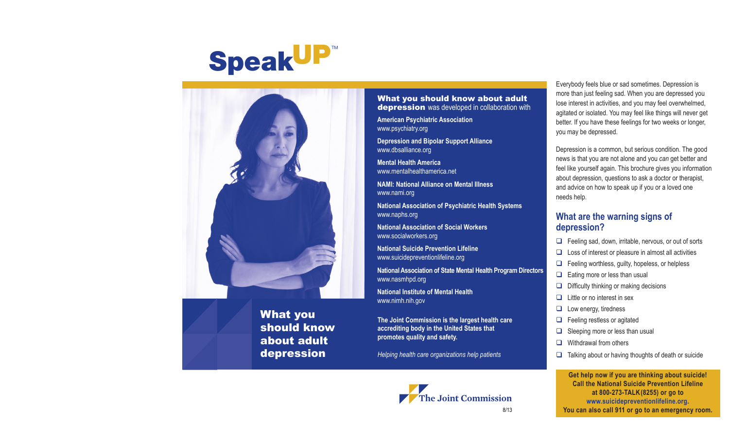# **SpeakUP**™



What you should know about adult depression

#### What you should know about adult depression was developed in collaboration with

**American Psychiatric Association** www.psychiatry.org

**Depression and Bipolar Support Alliance** www.dbsalliance.org

**Mental Health America** www.mentalhealthamerica.net

**NAMI: National Alliance on Mental Illness** www.nami.org

**National Association of Psychiatric Health Systems** www.naphs.org

**National Association of Social Workers** www.socialworkers.org

**National Suicide Prevention Lifeline** www.suicidepreventionlifeline.org

**National Association of State Mental Health Program Directors** www.nasmhpd.org

**National Institute of Mental Health** www.nimh.nih.gov

**The Joint Commission is the largest health care accrediting body in the United States that promotes quality and safety.**

*Helping health care organizations help patients*



Everybody feels blue or sad sometimes. Depression is more than just feeling sad. When you are depressed you lose interest in activities, and you may feel overwhelmed, agitated or isolated. You may feel like things will never get better. If you have these feelings for two weeks or longer, you may be depressed.

Depression is a common, but serious condition. The good news is that you are not alone and you *can* get better and feel like yourself again. This brochure gives you information about depression, questions to ask a doctor or therapist, and advice on how to speak up if you or a loved one needs help.

#### **What are the warning signs of depression?**

- $\Box$  Feeling sad, down, irritable, nervous, or out of sorts
- $\Box$  Loss of interest or pleasure in almost all activities
- $\Box$  Feeling worthless, guilty, hopeless, or helpless
- $\Box$  Eating more or less than usual
- $\Box$  Difficulty thinking or making decisions
- $\Box$  Little or no interest in sex
- $\Box$  Low energy, tiredness
- $\Box$  Feeling restless or agitated
- $\Box$  Sleeping more or less than usual
- $\Box$  Withdrawal from others
- $\Box$  Talking about or having thoughts of death or suicide

**Get help now if you are thinking about suicide! Call the National Suicide Prevention Lifeline at 800-273-TALK(8255) or go to www.suicidepreventionlifeline.org.**  8/13 **You can also call 911 or go to an emergency room.**